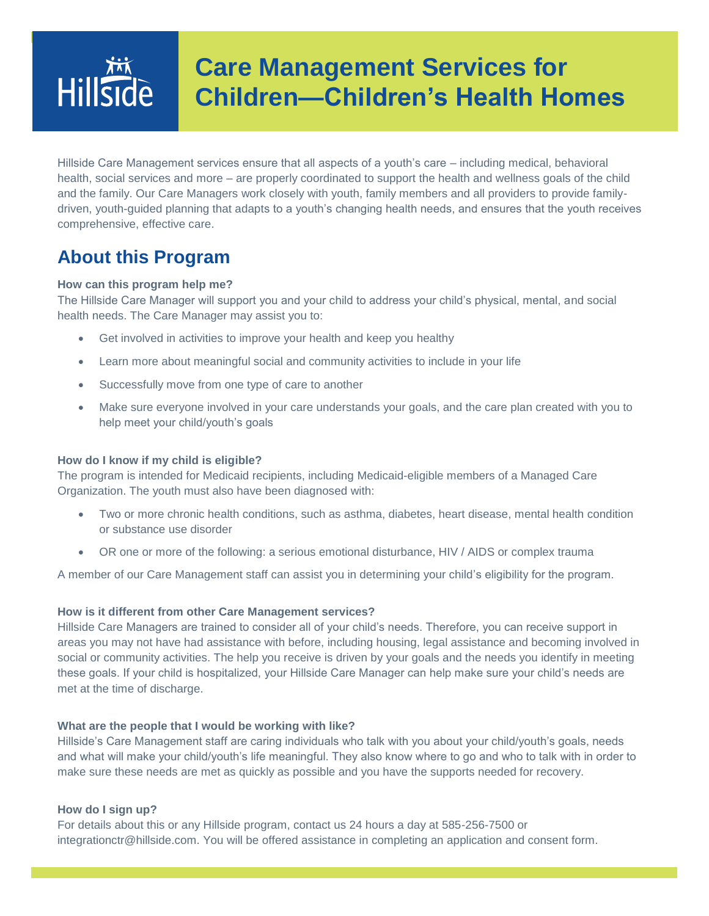# **Care Management Services for**  Hillside **Children—Children's Health Homes**

Hillside Care Management services ensure that all aspects of a youth's care – including medical, behavioral health, social services and more – are properly coordinated to support the health and wellness goals of the child and the family. Our Care Managers work closely with youth, family members and all providers to provide familydriven, youth-guided planning that adapts to a youth's changing health needs, and ensures that the youth receives comprehensive, effective care.

### **About this Program**

### **How can this program help me?**

The Hillside Care Manager will support you and your child to address your child's physical, mental, and social health needs. The Care Manager may assist you to:

- Get involved in activities to improve your health and keep you healthy
- Learn more about meaningful social and community activities to include in your life
- Successfully move from one type of care to another
- Make sure everyone involved in your care understands your goals, and the care plan created with you to help meet your child/youth's goals

#### **How do I know if my child is eligible?**

The program is intended for Medicaid recipients, including Medicaid-eligible members of a Managed Care Organization. The youth must also have been diagnosed with:

- Two or more chronic health conditions, such as asthma, diabetes, heart disease, mental health condition or substance use disorder
- OR one or more of the following: a serious emotional disturbance, HIV / AIDS or complex trauma

A member of our Care Management staff can assist you in determining your child's eligibility for the program.

### **How is it different from other Care Management services?**

Hillside Care Managers are trained to consider all of your child's needs. Therefore, you can receive support in areas you may not have had assistance with before, including housing, legal assistance and becoming involved in social or community activities. The help you receive is driven by your goals and the needs you identify in meeting these goals. If your child is hospitalized, your Hillside Care Manager can help make sure your child's needs are met at the time of discharge.

#### **What are the people that I would be working with like?**

Hillside's Care Management staff are caring individuals who talk with you about your child/youth's goals, needs and what will make your child/youth's life meaningful. They also know where to go and who to talk with in order to make sure these needs are met as quickly as possible and you have the supports needed for recovery.

#### **How do I sign up?**

For details about this or any Hillside program, contact us 24 hours a day at 585-256-7500 or integrationctr@hillside.com. You will be offered assistance in completing an application and consent form.